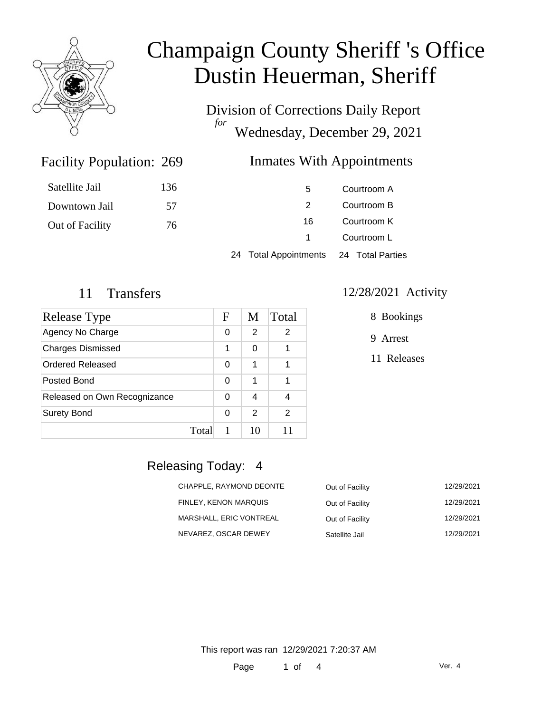

# Champaign County Sheriff 's Office Dustin Heuerman, Sheriff

Division of Corrections Daily Report *for* Wednesday, December 29, 2021

#### Inmates With Appointments

| Satellite Jail  | 136 | 5                                      | Courtroom A |  |
|-----------------|-----|----------------------------------------|-------------|--|
| Downtown Jail   | .57 | 2                                      | Courtroom B |  |
| Out of Facility | 76  | 16                                     | Courtroom K |  |
|                 |     |                                        | Courtroom L |  |
|                 |     | 24 Total Appointments 24 Total Parties |             |  |

Facility Population: 269

| Release Type                 |       | F        | M  | Total |
|------------------------------|-------|----------|----|-------|
| Agency No Charge             |       | 0        | 2  | 2     |
| <b>Charges Dismissed</b>     |       | 1        | ი  |       |
| Ordered Released             |       | 0        | 1  |       |
| Posted Bond                  |       | $\Omega$ | 1  |       |
| Released on Own Recognizance |       | 0        | 4  |       |
| <b>Surety Bond</b>           |       | 0        | 2  | 2     |
|                              | Total |          | 10 | 11    |

#### 11 Transfers 12/28/2021 Activity

8 Bookings

9 Arrest

11 Releases

#### Releasing Today: 4

| CHAPPLE, RAYMOND DEONTE | Out of Facility | 12/29/2021 |
|-------------------------|-----------------|------------|
| FINLEY, KENON MARQUIS   | Out of Facility | 12/29/2021 |
| MARSHALL, ERIC VONTREAL | Out of Facility | 12/29/2021 |
| NEVAREZ, OSCAR DEWEY    | Satellite Jail  | 12/29/2021 |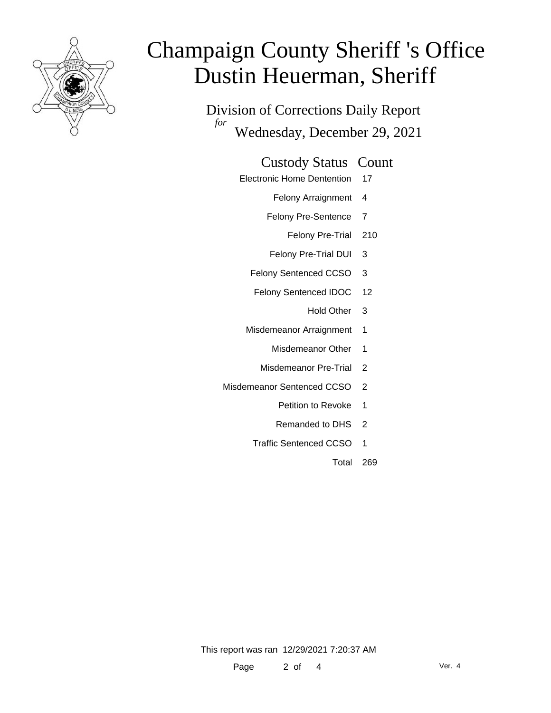

# Champaign County Sheriff 's Office Dustin Heuerman, Sheriff

Division of Corrections Daily Report *for* Wednesday, December 29, 2021

#### Custody Status Count

- Electronic Home Dentention 17
	- Felony Arraignment 4
	- Felony Pre-Sentence 7
		- Felony Pre-Trial 210
	- Felony Pre-Trial DUI 3
	- Felony Sentenced CCSO 3
	- Felony Sentenced IDOC 12
		- Hold Other 3
	- Misdemeanor Arraignment 1
		- Misdemeanor Other 1
		- Misdemeanor Pre-Trial 2
- Misdemeanor Sentenced CCSO 2
	- Petition to Revoke 1
	- Remanded to DHS 2
	- Traffic Sentenced CCSO 1
		- Total 269

This report was ran 12/29/2021 7:20:37 AM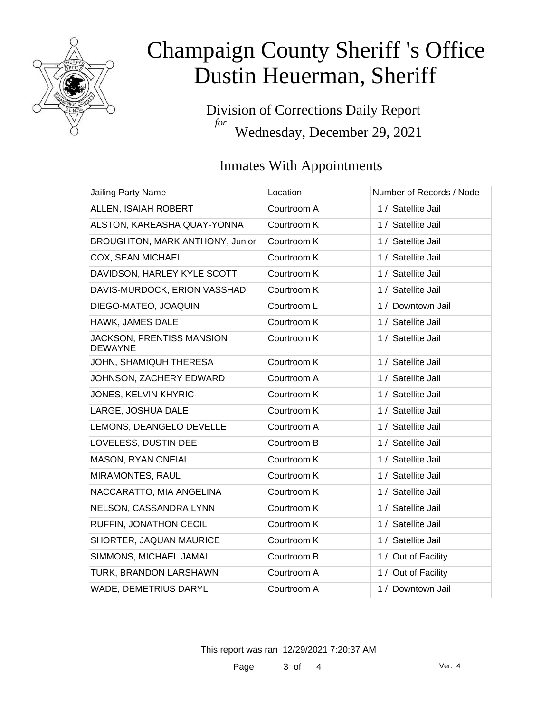

# Champaign County Sheriff 's Office Dustin Heuerman, Sheriff

Division of Corrections Daily Report *for* Wednesday, December 29, 2021

### Inmates With Appointments

| <b>Jailing Party Name</b>                   | Location    | Number of Records / Node |
|---------------------------------------------|-------------|--------------------------|
| ALLEN, ISAIAH ROBERT                        | Courtroom A | 1 / Satellite Jail       |
| ALSTON, KAREASHA QUAY-YONNA                 | Courtroom K | 1 / Satellite Jail       |
| BROUGHTON, MARK ANTHONY, Junior             | Courtroom K | 1 / Satellite Jail       |
| COX, SEAN MICHAEL                           | Courtroom K | 1 / Satellite Jail       |
| DAVIDSON, HARLEY KYLE SCOTT                 | Courtroom K | 1 / Satellite Jail       |
| DAVIS-MURDOCK, ERION VASSHAD                | Courtroom K | 1 / Satellite Jail       |
| DIEGO-MATEO, JOAQUIN                        | Courtroom L | 1 / Downtown Jail        |
| HAWK, JAMES DALE                            | Courtroom K | 1 / Satellite Jail       |
| JACKSON, PRENTISS MANSION<br><b>DEWAYNE</b> | Courtroom K | 1 / Satellite Jail       |
| JOHN, SHAMIQUH THERESA                      | Courtroom K | 1 / Satellite Jail       |
| JOHNSON, ZACHERY EDWARD                     | Courtroom A | 1 / Satellite Jail       |
| JONES, KELVIN KHYRIC                        | Courtroom K | 1 / Satellite Jail       |
| LARGE, JOSHUA DALE                          | Courtroom K | 1 / Satellite Jail       |
| LEMONS, DEANGELO DEVELLE                    | Courtroom A | 1 / Satellite Jail       |
| LOVELESS, DUSTIN DEE                        | Courtroom B | 1 / Satellite Jail       |
| MASON, RYAN ONEIAL                          | Courtroom K | 1 / Satellite Jail       |
| MIRAMONTES, RAUL                            | Courtroom K | 1 / Satellite Jail       |
| NACCARATTO, MIA ANGELINA                    | Courtroom K | 1 / Satellite Jail       |
| NELSON, CASSANDRA LYNN                      | Courtroom K | 1 / Satellite Jail       |
| RUFFIN, JONATHON CECIL                      | Courtroom K | 1 / Satellite Jail       |
| SHORTER, JAQUAN MAURICE                     | Courtroom K | 1 / Satellite Jail       |
| SIMMONS, MICHAEL JAMAL                      | Courtroom B | 1 / Out of Facility      |
| TURK, BRANDON LARSHAWN                      | Courtroom A | 1 / Out of Facility      |
| <b>WADE, DEMETRIUS DARYL</b>                | Courtroom A | 1 / Downtown Jail        |

This report was ran 12/29/2021 7:20:37 AM